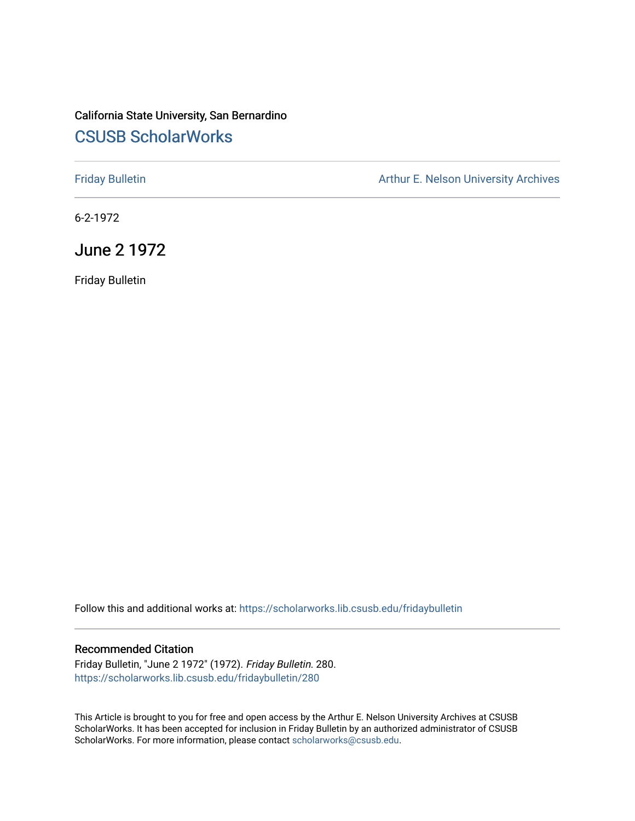## California State University, San Bernardino [CSUSB ScholarWorks](https://scholarworks.lib.csusb.edu/)

[Friday Bulletin](https://scholarworks.lib.csusb.edu/fridaybulletin) **Arthur E. Nelson University Archives** Arthur E. Nelson University Archives

6-2-1972

June 2 1972

Friday Bulletin

Follow this and additional works at: [https://scholarworks.lib.csusb.edu/fridaybulletin](https://scholarworks.lib.csusb.edu/fridaybulletin?utm_source=scholarworks.lib.csusb.edu%2Ffridaybulletin%2F280&utm_medium=PDF&utm_campaign=PDFCoverPages)

## Recommended Citation

Friday Bulletin, "June 2 1972" (1972). Friday Bulletin. 280. [https://scholarworks.lib.csusb.edu/fridaybulletin/280](https://scholarworks.lib.csusb.edu/fridaybulletin/280?utm_source=scholarworks.lib.csusb.edu%2Ffridaybulletin%2F280&utm_medium=PDF&utm_campaign=PDFCoverPages)

This Article is brought to you for free and open access by the Arthur E. Nelson University Archives at CSUSB ScholarWorks. It has been accepted for inclusion in Friday Bulletin by an authorized administrator of CSUSB ScholarWorks. For more information, please contact [scholarworks@csusb.edu.](mailto:scholarworks@csusb.edu)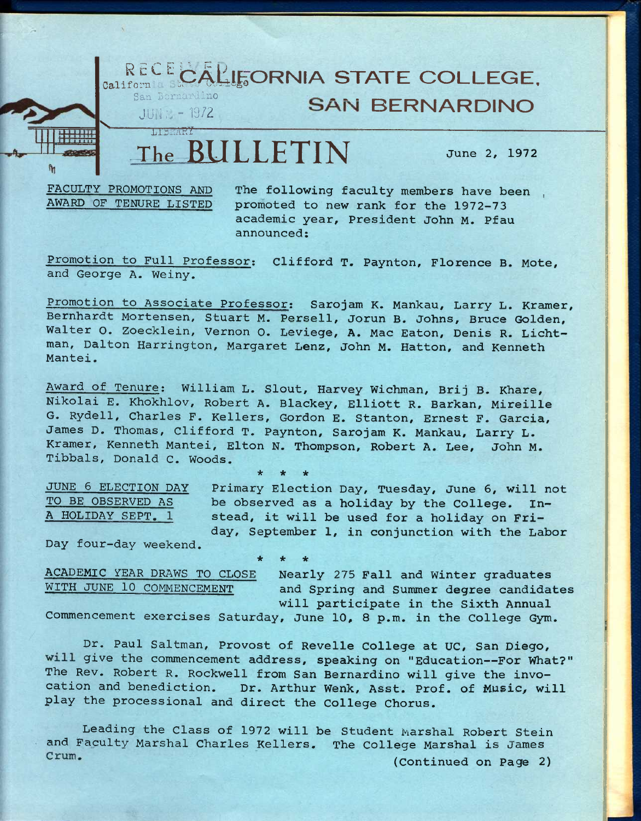

FACULTY PROMOTIONS AND The following faculty members have been ,<br>AWARD OF TENURE LISTED promoted to new rank for the 1972-73 promoted to new rank for the 1972-73 **academic year. President John M. Pfau announced;** 

**Promotion to Full Professor: Clifford T. Paynton, Florence B. Mote, and George A. Weiny.** 

**Promotion to Associate Professor; Sarojam K. Mankau, Larry L. Kramer, Bernhardt Mortensen, Stuart M. Persell, Jorun B. Johns, Bruce Golden, Walter O. Zoecklein, Vernon 0. Leviege, A. Mac Eaton, Denis R. Lichtman, Dalton Harrington, Margaret Lenz, John M. Hatton, and Kenneth Mantei.** 

**Award of Tenure; William L. Slout, Harvey Wichman, Brij B. Khare, Nikolai E. Khokhlov, Robert A. Blackey, Elliott R. Barkan, Mireille G. Rydell, Charles F. Kellers, Gordon E. Stanton, Ernest F. Garcia, James D. Thomas, Clifford T. Paynton, Sarojam K. Mankau, Larry L. Kramer, Kenneth Mantei, Elton N. Thompson, Robert A. Lee, John M. Tibbals, Donald C. Woods.** 

**\* \* \*** 

**\* \* \*** 

**JUNE 6 ELECTION DAY Primary Election Day, Tuesday, June 6, will not**  be observed as a holiday by the College. In-**A HOLIDAY SEPT. 1 stead, it will be used for a holiday on Friday, September 1, in conjunction with the Labor** 

**Day four-day weekend.** 

**ACADEMIC YEAR DRAWS TO CLOSE Nearly 275 Fall and Winter graduates**  and Spring and Summer degree candidates **will participate in the Sixth Annual** 

**Commencement exercises Saturday, June 10, 8 p.m. in the College Gym.** 

**Dr. Paul Saltman, Provost of Revelle College at UC, San Diego, give the commencement address, speaking on "Education—For What?" The Rev. Robert R. Rockwell from San Bernardino will give the invocation and benediction. Dr. Arthur Wenk, Asst. Prof, of Music, will play the processional and direct the College Chorus.** 

**Leading the Class of 1972 will be Student Marshal Robert Stein and Faculty Marshal Charles Kellers. The College Marshal is James**  Crum. **(Continued on Page 2)**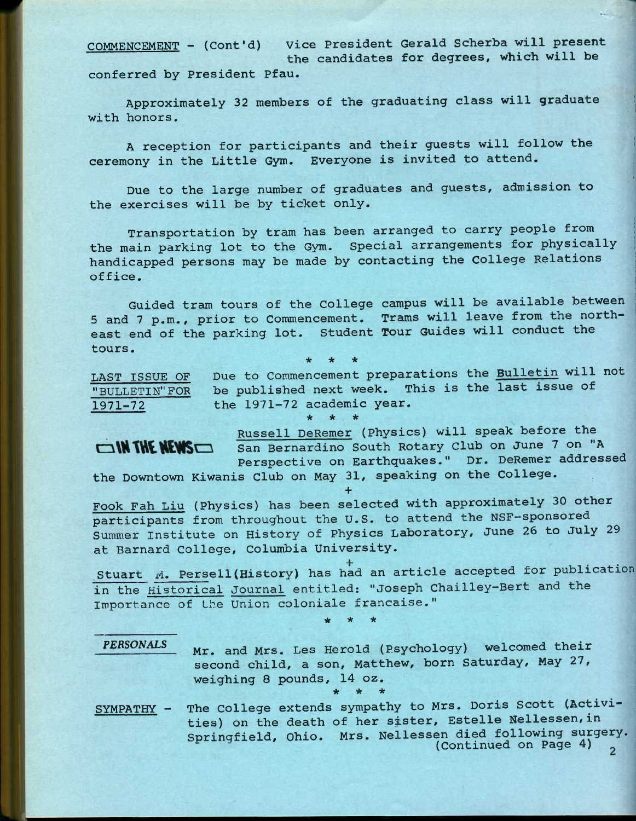**COMMENCEMENT - (Cont'd) Vice President Gerald Scherba will present the candidates for degrees, which will be conferred by President Pfau.** 

**Approximately 32 members of the graduating class will graduate with honors.** 

**A reception for participants and their guests will follow the ceremony in the Little Gym. Everyone is invited to attend.** 

**Due to the large number of graduates and guests, admission to the exercises will be by ticket only.** 

**Transportation by tram has been arranged to carry people from the main parking lot to the Gym. Special arrangements for physically handicapped persons may be made by contacting the College Relations office.** 

**Guided tram tours of the College campus will be available between 5 and 7 p.m., prior to Commencement. Trams will leave from the northeast end of the parking lot. Student Tour Guides will conduct the tours. \* \* \*** 

**LAST ISSUE OF Due to Commencement preparations the Bulletin will not "BULLETIN" FOR be published next week. This is the last issue of 1971-72 the 1971-72 academic year. \* \* \*** 

**Russell DeRemer (Physics) will speak before the San Bernardino South Rotary Club on June 7 on "A Perspective on Earthquakes." Dr. DeRemer addressed the Downtown Kiwanis Club on May 31, speaking on the College.** 

**+ Fook Fah Liu (Physics) has been selected with approximately 30 other participants from throughout the U.S. to attend the NSF-sponsored Summer Institute on History of Physics Laboratory, June 26 to July 29 at Barnard College, Columbia University.** 

**Stuart M. Persell(History) has had an article accepted for publication in the Historical Journal entitled: "Joseph Chailley-Bert and the Importance of the Union coloniale francaise."** 

**\* \* \*** 

*PERSONALS* 

OIN THE NEWS

**Mr. and Mrs. Les Herold (Psychology) welcomed their second child, a son, Matthew, born Saturday, May 27, weighing 8 pounds, 14 oz. \* \* \*** 

**The College extends sympathy to Mrs. Doris Scott (Activities) on the death of her sister, Estelle Nellessen,in Springfield, Ohio. Mrs. Nellessen died following surgery. (Continued on Page 4) SYMPATHY -**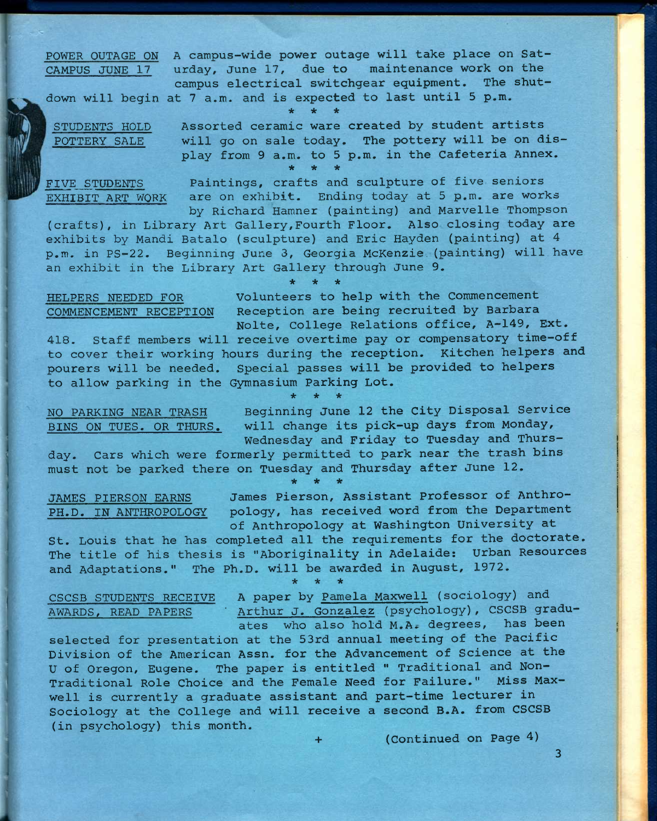**POWER OUTAGE ON A campus-wide power outage will take place on Sat-CAMPUS JUNE 17 urday, June 17, due to maintenance work on the campus electrical switchgear equipment. The shut-**

**down will begin at 7 a.m. and is expected to last until 5 p.m.** 

**\* \* \*** 

**STUDENTS HOLD Assorted ceramic ware created by student artists POTTERY SALE will go on sale today. The pottery will be on dis-**

**\* \* \* FIVE STUDENTS Paintings, crafts and sculpture of five seniors EXHIBIT ART WQRK are on exhibit. Ending today at 5 p.m. are works** 

**play from 9 a.m. to 5 p.m. in the Cafeteria Annex.** 

**by Richard Hamner (painting) and Marvelle Thompson (crafts), in Library Art Gallery,Fourth Floor. Also closing today are exhibits by Mandi Batalo (sculpture) and Eric Hayden (painting) at 4 p.m. in PS-22. Beginning June 3, Georgia McKenzie,(painting) will have an exhibit in the Library Art Gallery through June 9.** 

**\* \* \*** 

**HELPERS NEEDED FOR Volunteers to help with the Commencement COMMENCEMENT RECEPTION Reception are being recruited by Barbara Nolte, College Relations office, A-149, Ext.** 

**418. Staff members will receive overtime pay or compensatory time-off to cover their working hours during the reception. Kitchen helpers and pourers will be needed. Special passes will be provided to helpers to allow parking in the Gymnasium Parking Lot.** 

**\* \* \*** 

**NO PARKING NEAR TRASH Beginning June 12 the City Disposal Service BINS ON TUES. OR THURS. will change its pick-up days from Monday, Wednesday and Friday to Tuesday and Thurs-**

**day. Cars which were formerly permitted to park near the trash bins must not be parked there on Tuesday and Thursday after June 12. \* \* \*** 

**JAMES PIERSON EARNS James Pierson, Assistant Professor of Anthro-PH.D. IN ANTHROPOLOGY pology, has received word from the Department of Anthropology at Washington University at** 

**St. Louis that he has completed all the requirements for the doctorate. The title of his thesis is "Aboriginality in Adelaide; Urban Resources and Adaptations." The Ph.D. will be awarded in August, 1972.** 

**\* \* \*** 

**CSCSB STUDENTS RECEIVE A paper by Pamela Maxwell (sociology) and AWARDS, READ PAPERS ' Arthur J. Gonzalez (psychology), CSCSB graduates who also hold M.A» degrees, has been** 

**selected for presentation at the 53rd annual meeting of the Pacific Division of the American Assn. for the Advancement of Science at the U of Oregon, Eugene. The paper is entitled " Traditional and Non-Traditional Role Choice and the Female Need for Failure." Miss Maxwell is currently a graduate assistant and part-time lecturer in Sociology at the College and will receive a second B.A. from CSCSB (in psychology) this month.** 

**+ (Continued on Page 4)** 

**3**